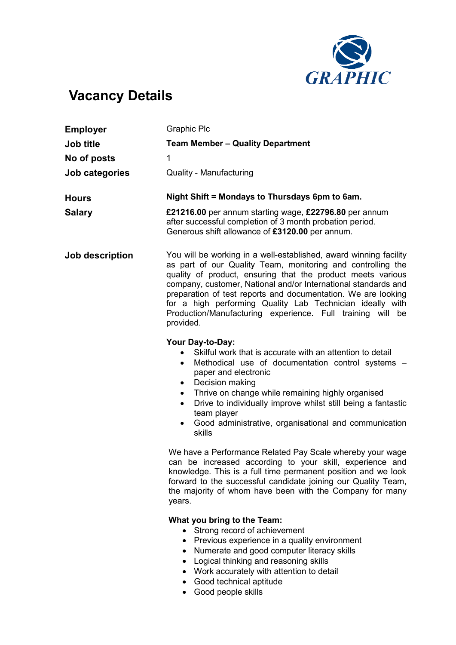

## Vacancy Details

| <b>Employer</b> | <b>Graphic Plc</b>                                                                                                                                                                                                                                                                                                                                                                                                                                                         |
|-----------------|----------------------------------------------------------------------------------------------------------------------------------------------------------------------------------------------------------------------------------------------------------------------------------------------------------------------------------------------------------------------------------------------------------------------------------------------------------------------------|
| Job title       | <b>Team Member - Quality Department</b>                                                                                                                                                                                                                                                                                                                                                                                                                                    |
| No of posts     | 1                                                                                                                                                                                                                                                                                                                                                                                                                                                                          |
| Job categories  | <b>Quality - Manufacturing</b>                                                                                                                                                                                                                                                                                                                                                                                                                                             |
| <b>Hours</b>    | Night Shift = Mondays to Thursdays 6pm to 6am.                                                                                                                                                                                                                                                                                                                                                                                                                             |
| <b>Salary</b>   | £21216.00 per annum starting wage, £22796.80 per annum<br>after successful completion of 3 month probation period.<br>Generous shift allowance of £3120.00 per annum.                                                                                                                                                                                                                                                                                                      |
| Job description | You will be working in a well-established, award winning facility<br>as part of our Quality Team, monitoring and controlling the<br>quality of product, ensuring that the product meets various<br>company, customer, National and/or International standards and<br>preparation of test reports and documentation. We are looking<br>for a high performing Quality Lab Technician ideally with<br>Production/Manufacturing experience. Full training will be<br>provided. |
|                 | Your Day-to-Day:<br>Skilful work that is accurate with an attention to detail<br>$\bullet$<br>Methodical use of documentation control systems -<br>$\bullet$<br>paper and electronic<br>Decision making<br>$\bullet$<br>Thrive on change while remaining highly organised<br>$\bullet$<br>Drive to individually improve whilst still being a fantastic<br>$\bullet$<br>team player<br>Good administrative, organisational and communication<br>$\bullet$<br>skills         |
|                 | We have a Performance Related Pay Scale whereby your wage<br>can be increased according to your skill, experience and<br>knowledge. This is a full time permanent position and we look<br>forward to the successful candidate joining our Quality Team,<br>the majority of whom have been with the Company for many<br>years.                                                                                                                                              |
|                 | What you bring to the Team:<br>• Strong record of achievement<br>Previous experience in a quality environment<br>Numerate and good computer literacy skills<br>Logical thinking and reasoning skills<br>$\bullet$<br>Work accurately with attention to detail                                                                                                                                                                                                              |

- Good technical aptitude
- Good people skills